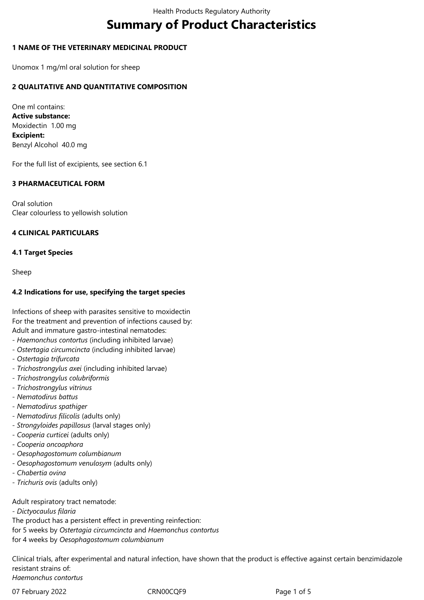# **Summary of Product Characteristics**

## **1 NAME OF THE VETERINARY MEDICINAL PRODUCT**

Unomox 1 mg/ml oral solution for sheep

## **2 QUALITATIVE AND QUANTITATIVE COMPOSITION**

One ml contains: **Active substance:** Moxidectin 1.00 mg **Excipient:** Benzyl Alcohol 40.0 mg

For the full list of excipients, see section 6.1

## **3 PHARMACEUTICAL FORM**

Oral solution Clear colourless to yellowish solution

## **4 CLINICAL PARTICULARS**

## **4.1 Target Species**

Sheep

## **4.2 Indications for use, specifying the target species**

Infections of sheep with parasites sensitive to moxidectin For the treatment and prevention of infections caused by: Adult and immature gastro-intestinal nematodes:

- *Haemonchus contortus* (including inhibited larvae)
- *Ostertagia circumcincta* (including inhibited larvae)
- *Ostertagia trifurcata*
- *Trichostrongylus axei* (including inhibited larvae)
- *Trichostrongylus colubriformis*
- *Trichostrongylus vitrinus*
- *Nematodirus battus*
- *Nematodirus spathiger*
- *Nematodirus filicolis* (adults only)
- *Strongyloides papillosus* (larval stages only)
- *Cooperia curticei* (adults only)
- *Cooperia oncoaphora*
- *Oesophagostomum columbianum*
- *Oesophagostomum venulosym* (adults only)
- *Chabertia ovina*
- *Trichuris ovis* (adults only)

Adult respiratory tract nematode:

- *Dictyocaulus filaria*

The product has a persistent effect in preventing reinfection: for 5 weeks by *Ostertagia circumcincta* and *Haemonchus contortus* for 4 weeks by *Oesophagostomum columbianum*

Clinical trials, after experimental and natural infection, have shown that the product is effective against certain benzimidazole resistant strains of: *Haemonchus contortus*

07 February 2022 CRN00CQF9 CRNOCCRF9 Page 1 of 5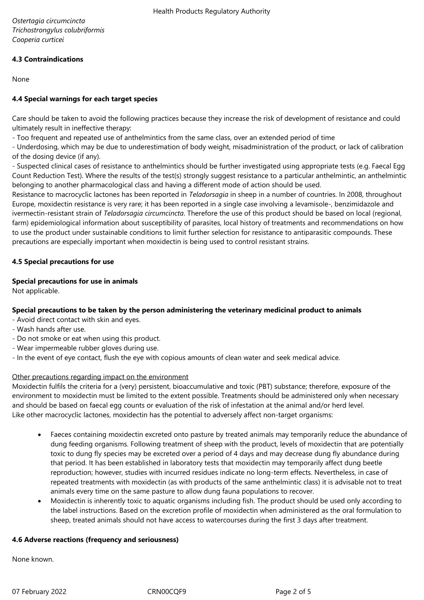*Ostertagia circumcincta Trichostrongylus colubriformis Cooperia curticei*

# **4.3 Contraindications**

None

# **4.4 Special warnings for each target species**

Care should be taken to avoid the following practices because they increase the risk of development of resistance and could ultimately result in ineffective therapy:

- Too frequent and repeated use of anthelmintics from the same class, over an extended period of time

- Underdosing, which may be due to underestimation of body weight, misadministration of the product, or lack of calibration of the dosing device (if any).

- Suspected clinical cases of resistance to anthelmintics should be further investigated using appropriate tests (e.g. Faecal Egg Count Reduction Test). Where the results of the test(s) strongly suggest resistance to a particular anthelmintic, an anthelmintic belonging to another pharmacological class and having a different mode of action should be used.

Resistance to macrocyclic lactones has been reported in *Teladorsagia* in sheep in a number of countries. In 2008, throughout Europe, moxidectin resistance is very rare; it has been reported in a single case involving a levamisole-, benzimidazole and ivermectin-resistant strain of *Teladorsagia circumcincta*. Therefore the use of this product should be based on local (regional, farm) epidemiological information about susceptibility of parasites, local history of treatments and recommendations on how to use the product under sustainable conditions to limit further selection for resistance to antiparasitic compounds. These precautions are especially important when moxidectin is being used to control resistant strains.

## **4.5 Special precautions for use**

## **Special precautions for use in animals**

Not applicable.

# **Special precautions to be taken by the person administering the veterinary medicinal product to animals**

- Avoid direct contact with skin and eyes.
- Wash hands after use.
- Do not smoke or eat when using this product.
- Wear impermeable rubber gloves during use.
- In the event of eye contact, flush the eye with copious amounts of clean water and seek medical advice.

## Other precautions regarding impact on the environment

Moxidectin fulfils the criteria for a (very) persistent, bioaccumulative and toxic (PBT) substance; therefore, exposure of the environment to moxidectin must be limited to the extent possible. Treatments should be administered only when necessary and should be based on faecal egg counts or evaluation of the risk of infestation at the animal and/or herd level. Like other macrocyclic lactones, moxidectin has the potential to adversely affect non-target organisms:

- Faeces containing moxidectin excreted onto pasture by treated animals may temporarily reduce the abundance of dung feeding organisms. Following treatment of sheep with the product, levels of moxidectin that are potentially toxic to dung fly species may be excreted over a period of 4 days and may decrease dung fly abundance during that period. It has been established in laboratory tests that moxidectin may temporarily affect dung beetle reproduction; however, studies with incurred residues indicate no long-term effects. Nevertheless, in case of repeated treatments with moxidectin (as with products of the same anthelmintic class) it is advisable not to treat animals every time on the same pasture to allow dung fauna populations to recover.
- Moxidectin is inherently toxic to aquatic organisms including fish. The product should be used only according to the label instructions. Based on the excretion profile of moxidectin when administered as the oral formulation to sheep, treated animals should not have access to watercourses during the first 3 days after treatment.

## **4.6 Adverse reactions (frequency and seriousness)**

None known.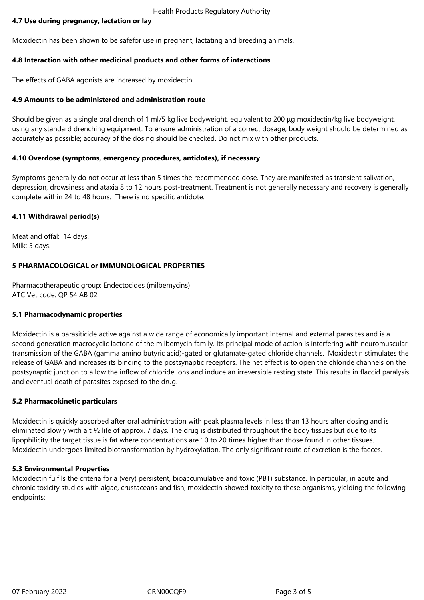#### Health Products Regulatory Authority

## **4.7 Use during pregnancy, lactation or lay**

Moxidectin has been shown to be safefor use in pregnant, lactating and breeding animals.

## **4.8 Interaction with other medicinal products and other forms of interactions**

The effects of GABA agonists are increased by moxidectin.

# **4.9 Amounts to be administered and administration route**

Should be given as a single oral drench of 1 ml/5 kg live bodyweight, equivalent to 200 μg moxidectin/kg live bodyweight, using any standard drenching equipment. To ensure administration of a correct dosage, body weight should be determined as accurately as possible; accuracy of the dosing should be checked. Do not mix with other products.

## **4.10 Overdose (symptoms, emergency procedures, antidotes), if necessary**

Symptoms generally do not occur at less than 5 times the recommended dose. They are manifested as transient salivation, depression, drowsiness and ataxia 8 to 12 hours post-treatment. Treatment is not generally necessary and recovery is generally complete within 24 to 48 hours. There is no specific antidote.

## **4.11 Withdrawal period(s)**

Meat and offal: 14 days. Milk: 5 days.

## **5 PHARMACOLOGICAL or IMMUNOLOGICAL PROPERTIES**

Pharmacotherapeutic group: Endectocides (milbemycins) ATC Vet code: QP 54 AB 02

#### **5.1 Pharmacodynamic properties**

Moxidectin is a parasiticide active against a wide range of economically important internal and external parasites and is a second generation macrocyclic lactone of the milbemycin family. Its principal mode of action is interfering with neuromuscular transmission of the GABA (gamma amino butyric acid)-gated or glutamate-gated chloride channels. Moxidectin stimulates the release of GABA and increases its binding to the postsynaptic receptors. The net effect is to open the chloride channels on the postsynaptic junction to allow the inflow of chloride ions and induce an irreversible resting state. This results in flaccid paralysis and eventual death of parasites exposed to the drug.

#### **5.2 Pharmacokinetic particulars**

Moxidectin is quickly absorbed after oral administration with peak plasma levels in less than 13 hours after dosing and is eliminated slowly with a t ½ life of approx. 7 days. The drug is distributed throughout the body tissues but due to its lipophilicity the target tissue is fat where concentrations are 10 to 20 times higher than those found in other tissues. Moxidectin undergoes limited biotransformation by hydroxylation. The only significant route of excretion is the faeces.

#### **5.3 Environmental Properties**

Moxidectin fulfils the criteria for a (very) persistent, bioaccumulative and toxic (PBT) substance. In particular, in acute and chronic toxicity studies with algae, crustaceans and fish, moxidectin showed toxicity to these organisms, yielding the following endpoints: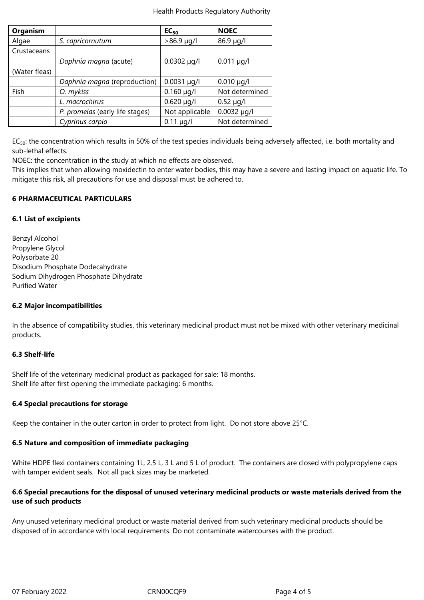| <b>Organism</b> |                                 | EC <sub>50</sub>   | <b>NOEC</b>      |
|-----------------|---------------------------------|--------------------|------------------|
| Algae           | S. capricornutum                | $>86.9 \mu g/l$    | 86.9 µg/l        |
| Crustaceans     |                                 |                    |                  |
|                 | Daphnia magna (acute)           | $0.0302 \mu q/l$   | $0.011 \mu g/l$  |
| (Water fleas)   |                                 |                    |                  |
|                 | Daphnia magna (reproduction)    | $0.0031 \,\mu g/l$ | $0.010 \mu q/l$  |
| Fish            | O. mykiss                       | $0.160 \mu g/l$    | Not determined   |
|                 | L. macrochirus                  | $0.620 \mu q/l$    | $0.52 \mu q/l$   |
|                 | P. promelas (early life stages) | Not applicable     | $0.0032 \mu g/l$ |
|                 | Cyprinus carpio                 | $0.11 \mu g/l$     | Not determined   |

 $EC<sub>50</sub>$ : the concentration which results in 50% of the test species individuals being adversely affected, i.e. both mortality and sub-lethal effects.

NOEC: the concentration in the study at which no effects are observed.

This implies that when allowing moxidectin to enter water bodies, this may have a severe and lasting impact on aquatic life. To mitigate this risk, all precautions for use and disposal must be adhered to.

# **6 PHARMACEUTICAL PARTICULARS**

## **6.1 List of excipients**

Benzyl Alcohol Propylene Glycol Polysorbate 20 Disodium Phosphate Dodecahydrate Sodium Dihydrogen Phosphate Dihydrate Purified Water

## **6.2 Major incompatibilities**

In the absence of compatibility studies, this veterinary medicinal product must not be mixed with other veterinary medicinal products.

## **6.3 Shelf-life**

Shelf life of the veterinary medicinal product as packaged for sale: 18 months. Shelf life after first opening the immediate packaging: 6 months.

#### **6.4 Special precautions for storage**

Keep the container in the outer carton in order to protect from light. Do not store above 25°C.

## **6.5 Nature and composition of immediate packaging**

White HDPE flexi containers containing 1L, 2.5 L, 3 L and 5 L of product. The containers are closed with polypropylene caps with tamper evident seals. Not all pack sizes may be marketed.

## **6.6 Special precautions for the disposal of unused veterinary medicinal products or waste materials derived from the use of such products**

Any unused veterinary medicinal product or waste material derived from such veterinary medicinal products should be disposed of in accordance with local requirements. Do not contaminate watercourses with the product.